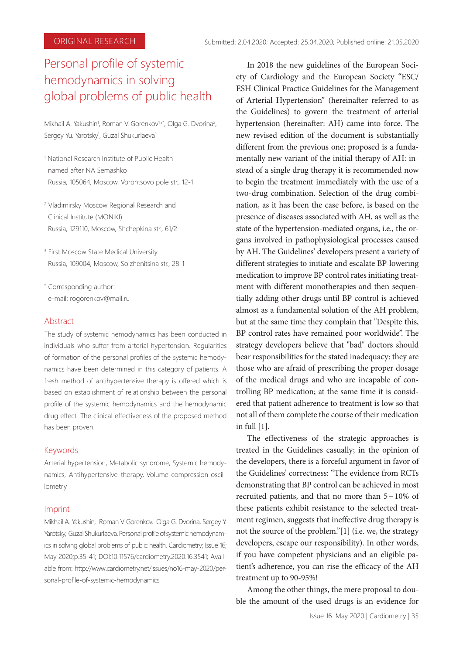# Personal profile of systemic hemodynamics in solving global problems of public health

Mikhail A. Yakushin<sup>1</sup>, Roman V. Gorenkov<sup>1,3\*</sup>, Olga G. Dvorina<sup>2</sup>, Sergey Yu. Yarotsky<sup>1</sup>, Guzal Shukurlaeva<sup>1</sup>

- 1 National Research Institute of Public Health named after NA Semashko Russia, 105064, Moscow, Vorontsovo pole str., 12-1
- 2 Vladimirsky Moscow Regional Research and Clinical Institute (MONIKI) Russia, 129110, Moscow, Shchepkina str., 61/2

<sup>3</sup> First Moscow State Medical University Russia, 109004, Moscow, Solzhenitsina str., 28-1

\* Corresponding author: e-mail: rogorenkov@mail.ru

## Abstract

The study of systemic hemodynamics has been conducted in individuals who suffer from arterial hypertension. Regularities of formation of the personal profiles of the systemic hemodynamics have been determined in this category of patients. A fresh method of antihypertensive therapy is offered which is based on establishment of relationship between the personal profile of the systemic hemodynamics and the hemodynamic drug effect. The clinical effectiveness of the proposed method has been proven.

## Keywords

Arterial hypertension, Metabolic syndrome, Systemic hemodynamics, Antihypertensive therapy, Volume compression oscillometry

## Imprint

Mikhail А. Yakushin, Roman V. Gorenkov, Olga G. Dvorina, Sergey Y. Yarotsky, Guzal Shukurlaeva. Personal profile of systemic hemodynamics in solving global problems of public health. Cardiometry; Issue 16; May 2020;р.35-41; DOI:10.11576/cardiometry.2020.16.3541; Available from: http://www.cardiometry.net/issues/no16-may-2020/personal-profile-of-systemic-hemodynamics

In 2018 the new guidelines of the European Society of Cardiology and the European Society "ESC/ ESH Clinical Practice Guidelines for the Management of Arterial Hypertension" (hereinafter referred to as the Guidelines) to govern the treatment of arterial hypertension (hereinafter: AH) came into force. The new revised edition of the document is substantially different from the previous one; proposed is a fundamentally new variant of the initial therapy of AH: instead of a single drug therapy it is recommended now to begin the treatment immediately with the use of a two-drug combination. Selection of the drug combination, as it has been the case before, is based on the presence of diseases associated with AH, as well as the state of the hypertension-mediated organs, i.e., the organs involved in pathophysiological processes caused by AH. The Guidelines' developers present a variety of different strategies to initiate and escalate BP-lowering medication to improve BP control rates initiating treatment with different monotherapies and then sequentially adding other drugs until BP control is achieved almost as a fundamental solution of the AH problem, but at the same time they complain that "Despite this, BP control rates have remained poor worldwide". The strategy developers believe that "bad" doctors should bear responsibilities for the stated inadequacy: they are those who are afraid of prescribing the proper dosage of the medical drugs and who are incapable of controlling BP medication; at the same time it is considered that patient adherence to treatment is low so that not all of them complete the course of their medication in full [1].

The effectiveness of the strategic approaches is treated in the Guidelines casually; in the opinion of the developers, there is a forceful argument in favor of the Guidelines' correctness: "The evidence from RCTs demonstrating that BP control can be achieved in most recruited patients, and that no more than 5−10% of these patients exhibit resistance to the selected treatment regimen, suggests that ineffective drug therapy is not the source of the problem."[1] (i.e. we, the strategy developers, escape our responsibility). In other words, if you have competent physicians and an eligible patient's adherence, you can rise the efficacy of the AH treatment up to 90-95%!

Among the other things, the mere proposal to double the amount of the used drugs is an evidence for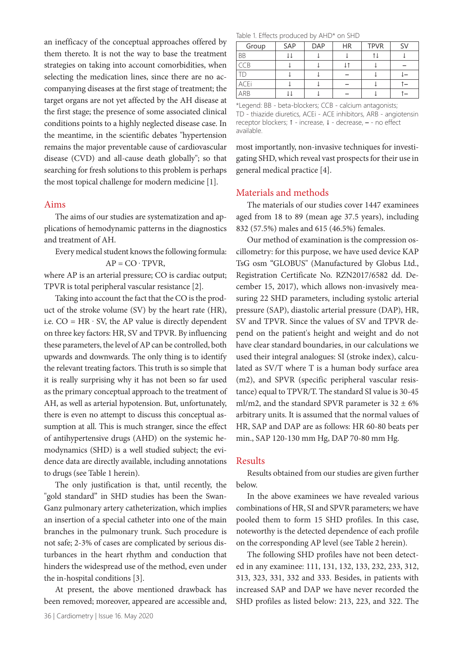an inefficacy of the conceptual approaches offered by them thereto. It is not the way to base the treatment strategies on taking into account comorbidities, when selecting the medication lines, since there are no accompanying diseases at the first stage of treatment; the target organs are not yet affected by the AH disease at the first stage; the presence of some associated clinical conditions points to a highly neglected disease case. In the meantime, in the scientific debates "hypertension remains the major preventable cause of cardiovascular disease (CVD) and all-cause death globally"; so that searching for fresh solutions to this problem is perhaps the most topical challenge for modern medicine [1].

#### Aims

The aims of our studies are systematization and applications of hemodynamic patterns in the diagnostics and treatment of AH.

Every medical student knows the following formula:  $AP = CO \cdot TPVR$ ,

where AP is an arterial pressure; CO is cardiac output; TPVR is total peripheral vascular resistance [2].

Taking into account the fact that the CO is the product of the stroke volume (SV) by the heart rate (HR), i.e.  $CO = HR \cdot SV$ , the AP value is directly dependent on three key factors: HR, SV and TPVR. By influencing these parameters, the level of AP can be controlled, both upwards and downwards. The only thing is to identify the relevant treating factors. This truth is so simple that it is really surprising why it has not been so far used as the primary conceptual approach to the treatment of AH, as well as arterial hypotension. But, unfortunately, there is even no attempt to discuss this conceptual assumption at all. This is much stranger, since the effect of antihypertensive drugs (AHD) on the systemic hemodynamics (SHD) is a well studied subject; the evidence data are directly available, including annotations to drugs (see Table 1 herein).

The only justification is that, until recently, the "gold standard" in SHD studies has been the Swan-Ganz pulmonary artery catheterization, which implies an insertion of a special catheter into one of the main branches in the pulmonary trunk. Such procedure is not safe; 2-3% of cases are complicated by serious disturbances in the heart rhythm and conduction that hinders the widespread use of the method, even under the in-hospital conditions [3].

At present, the above mentioned drawback has been removed; moreover, appeared are accessible and,

Table 1. Effects produced by AHD\* on SHD

| Group       | SAP | <b>DAP</b> | <b>HR</b> | <b>TPVR</b> | SV |
|-------------|-----|------------|-----------|-------------|----|
| <b>BB</b>   |     |            |           |             |    |
| CCB         |     |            |           |             |    |
| ТD          |     |            |           |             |    |
| <b>ACEi</b> |     |            |           |             |    |
| ARB         |     |            |           |             |    |

\*Legend: BB - beta-blockers; CCB - calcium antagonists; TD - thiazide diuretics, ACEi - ACE inhibitors, ARB - angiotensin receptor blockers; ↑ - increase, ↓ - decrease, **–** - no effect available.

most importantly, non-invasive techniques for investigating SHD, which reveal vast prospects for their use in general medical practice [4].

## Materials and methods

The materials of our studies cover 1447 examinees aged from 18 to 89 (mean age 37.5 years), including 832 (57.5%) males and 615 (46.5%) females.

Our method of examination is the compression oscillometry: for this purpose, we have used device KAP TsG osm "GLOBUS" (Manufactured by Globus Ltd., Registration Certificate No. RZN2017/6582 dd. December 15, 2017), which allows non-invasively measuring 22 SHD parameters, including systolic arterial pressure (SAP), diastolic arterial pressure (DAP), HR, SV and TPVR. Since the values of SV and TPVR depend on the patient's height and weight and do not have clear standard boundaries, in our calculations we used their integral analogues: SI (stroke index), calculated as SV/T where T is a human body surface area (m2), and SPVR (specific peripheral vascular resistance) equal to TPVR/T. The standard SI value is 30-45 ml/m2, and the standard SPVR parameter is  $32 \pm 6\%$ arbitrary units. It is assumed that the normal values of HR, SAP and DAP are as follows: HR 60-80 beats per min., SAP 120-130 mm Hg, DAP 70-80 mm Hg.

## Results

Results obtained from our studies are given further below.

In the above examinees we have revealed various combinations of HR, SI and SPVR parameters; we have pooled them to form 15 SHD profiles. In this case, noteworthy is the detected dependence of each profile on the corresponding AP level (see Table 2 herein).

The following SHD profiles have not been detected in any examinee: 111, 131, 132, 133, 232, 233, 312, 313, 323, 331, 332 and 333. Besides, in patients with increased SAP and DAP we have never recorded the SHD profiles as listed below: 213, 223, and 322. The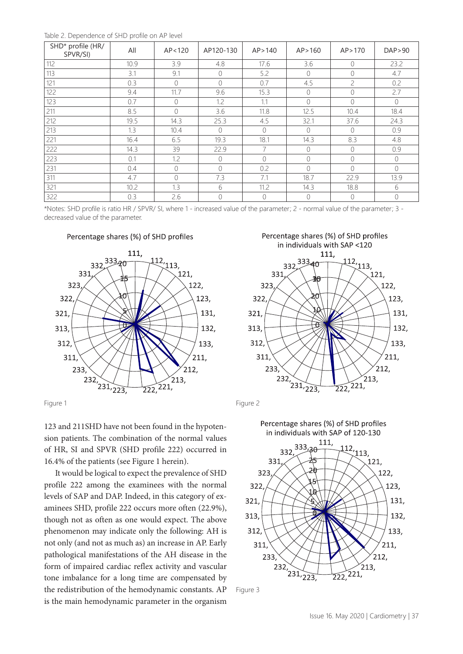Table 2. Dependence of SHD profile on AP level

| SHD* profile (HR/<br>SPVR/SI) | All  | AP < 120       | AP120-130  | AP > 140       | AP > 160       | AP > 170       | DAP > 90       |
|-------------------------------|------|----------------|------------|----------------|----------------|----------------|----------------|
| 112                           | 10.9 | 3.9            | 4.8        | 17.6           | 3.6            | $\Omega$       | 23.2           |
| 113                           | 3.1  | 9.1            | 0          | 5.2            | $\overline{0}$ | $\overline{0}$ | 4.7            |
| 121                           | 0.3  | $\bigcirc$     | $\bigcirc$ | 0.7            | 4.5            | $\overline{c}$ | 0.2            |
| 122                           | 9.4  | 11.7           | 9.6        | 15.3           | $\overline{0}$ | $\bigcirc$     | 2.7            |
| 123                           | 0.7  | $\mathbf{0}$   | 1.2        | 1.1            | $\bigcirc$     | $\bigcirc$     | $\circ$        |
| 211                           | 8.5  | $\mathbf{0}$   | 3.6        | 11.8           | 12.5           | 10.4           | 18.4           |
| 212                           | 19.5 | 14.3           | 25.3       | 4.5            | 32.1           | 37.6           | 24.3           |
| 213                           | 1.3  | 10.4           | $\Omega$   | $\bigcirc$     | $\bigcirc$     | $\Omega$       | 0.9            |
| 221                           | 16.4 | 6.5            | 19.3       | 18.1           | 14.3           | 8.3            | 4.8            |
| 222                           | 14.3 | 39             | 22.9       | $\overline{7}$ | $\overline{0}$ | $\Omega$       | 0.9            |
| 223                           | 0.1  | 1.2            | $\bigcirc$ | $\Omega$       | $\overline{0}$ | $\bigcirc$     | $\overline{0}$ |
| 231                           | 0.4  | $\mathbf 0$    | $\Omega$   | 0.2            | $\Omega$       | $\Omega$       | $\overline{0}$ |
| 311                           | 4.7  | $\overline{0}$ | 7.3        | 7.1            | 18.7           | 22.9           | 13.9           |
| 321                           | 10.2 | 1.3            | 6          | 11.2           | 14.3           | 18.8           | 6              |
| 322                           | 0.3  | 2.6            | 0          | $\mathcal{O}$  | $\theta$       | $\overline{0}$ | 0              |

\*Notes: SHD profile is ratio HR / SPVR/ SI, where 1 - increased value of the parameter; 2 - normal value of the parameter; 3 decreased value of the parameter.

## Percentage shares (%) of SHD profiles



123 and 211SHD have not been found in the hypotension patients. The combination of the normal values of HR, SI and SPVR (SHD profile 222) occurred in 16.4% of the patients (see Figure 1 herein).

It would be logical to expect the prevalence of SHD profile 222 among the examinees with the normal levels of SAP and DAP. Indeed, in this category of examinees SHD, profile 222 occurs more often (22.9%), though not as often as one would expect. The above phenomenon may indicate only the following: AH is not only (and not as much as) an increase in AP. Early pathological manifestations of the AH disease in the form of impaired cardiac reflex activity and vascular tone imbalance for a long time are compensated by the redistribution of the hemodynamic constants. AP is the main hemodynamic parameter in the organism





Figure 3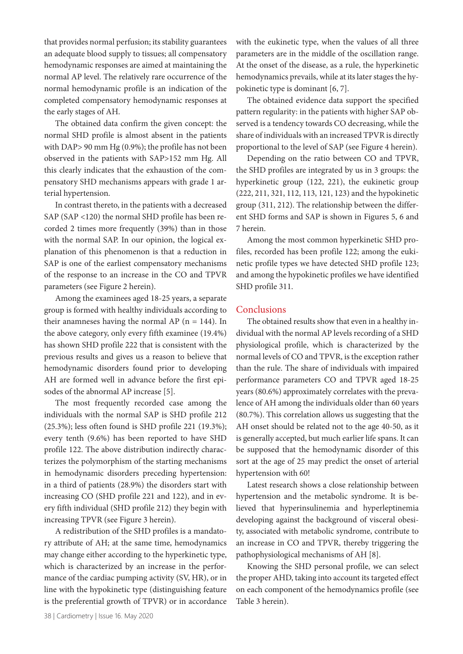that provides normal perfusion; its stability guarantees an adequate blood supply to tissues; all compensatory hemodynamic responses are aimed at maintaining the normal AP level. The relatively rare occurrence of the normal hemodynamic profile is an indication of the completed compensatory hemodynamic responses at the early stages of AH.

The obtained data confirm the given concept: the normal SHD profile is almost absent in the patients with DAP> 90 mm Hg (0.9%); the profile has not been observed in the patients with SAP>152 mm Hg. All this clearly indicates that the exhaustion of the compensatory SHD mechanisms appears with grade 1 arterial hypertension.

In contrast thereto, in the patients with a decreased SAP (SAP <120) the normal SHD profile has been recorded 2 times more frequently (39%) than in those with the normal SAP. In our opinion, the logical explanation of this phenomenon is that a reduction in SAP is one of the earliest compensatory mechanisms of the response to an increase in the CO and TPVR parameters (see Figure 2 herein).

Among the examinees aged 18-25 years, a separate group is formed with healthy individuals according to their anamneses having the normal AP  $(n = 144)$ . In the above category, only every fifth examinee (19.4%) has shown SHD profile 222 that is consistent with the previous results and gives us a reason to believe that hemodynamic disorders found prior to developing AH are formed well in advance before the first episodes of the abnormal AP increase [5].

The most frequently recorded case among the individuals with the normal SAP is SHD profile 212 (25.3%); less often found is SHD profile 221 (19.3%); every tenth (9.6%) has been reported to have SHD profile 122. The above distribution indirectly characterizes the polymorphism of the starting mechanisms in hemodynamic disorders preceding hypertension: in a third of patients (28.9%) the disorders start with increasing CO (SHD profile 221 and 122), and in every fifth individual (SHD profile 212) they begin with increasing TPVR (see Figure 3 herein).

A redistribution of the SHD profiles is a mandatory attribute of AH; at the same time, hemodynamics may change either according to the hyperkinetic type, which is characterized by an increase in the performance of the cardiac pumping activity (SV, HR), or in line with the hypokinetic type (distinguishing feature is the preferential growth of TPVR) or in accordance with the eukinetic type, when the values of all three parameters are in the middle of the oscillation range. At the onset of the disease, as a rule, the hyperkinetic hemodynamics prevails, while at its later stages the hypokinetic type is dominant [6, 7].

The obtained evidence data support the specified pattern regularity: in the patients with higher SAP observed is a tendency towards CO decreasing, while the share of individuals with an increased TPVR is directly proportional to the level of SAP (see Figure 4 herein).

Depending on the ratio between CO and TPVR, the SHD profiles are integrated by us in 3 groups: the hyperkinetic group (122, 221), the eukinetic group (222, 211, 321, 112, 113, 121, 123) and the hypokinetic group (311, 212). The relationship between the different SHD forms and SAP is shown in Figures 5, 6 and 7 herein.

Among the most common hyperkinetic SHD profiles, recorded has been profile 122; among the eukinetic profile types we have detected SHD profile 123; and among the hypokinetic profiles we have identified SHD profile 311.

## **Conclusions**

The obtained results show that even in a healthy individual with the normal AP levels recording of a SHD physiological profile, which is characterized by the normal levels of CO and TPVR, is the exception rather than the rule. The share of individuals with impaired performance parameters CO and TPVR aged 18-25 years (80.6%) approximately correlates with the prevalence of AH among the individuals older than 60 years (80.7%). This correlation allows us suggesting that the AH onset should be related not to the age 40-50, as it is generally accepted, but much earlier life spans. It can be supposed that the hemodynamic disorder of this sort at the age of 25 may predict the onset of arterial hypertension with 60!

Latest research shows a close relationship between hypertension and the metabolic syndrome. It is believed that hyperinsulinemia and hyperleptinemia developing against the background of visceral obesity, associated with metabolic syndrome, contribute to an increase in CO and TPVR, thereby triggering the pathophysiological mechanisms of AH [8].

Knowing the SHD personal profile, we can select the proper AHD, taking into account its targeted effect on each component of the hemodynamics profile (see Table 3 herein).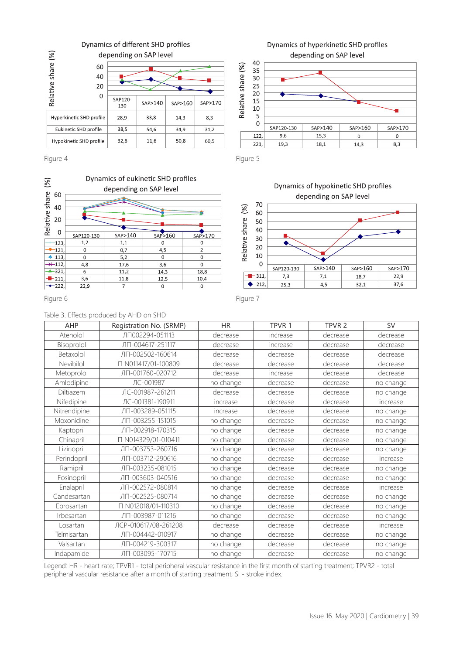

Figure 4



#### Table 3. Effects produced by AHD on SHD

| AHP          | Registration No. (SRMP) | <b>HR</b> | TPVR 1   | TPVR <sub>2</sub> | SV        |
|--------------|-------------------------|-----------|----------|-------------------|-----------|
| Atenolol     | ЛП002294-051113         | decrease  | increase | decrease          | decrease  |
| Bisoprolol   | ЛП-004617-251117        | decrease  | increase | decrease          | decrease  |
| Betaxolol    | ЛП-002502-160614        | decrease  | decrease | decrease          | decrease  |
| Nevibilol    | □ N011417/01-100809     | decrease  | decrease | decrease          | decrease  |
| Metoprolol   | ЛП-001760-020712        | decrease  | increase | decrease          | decrease  |
| Amlodipine   | ЛС-001987               | no change | decrease | decrease          | no change |
| Diltiazem    | ЛС-001987-261211        | decrease  | decrease | decrease          | no change |
| Nifedipine   | ЛС-001381-190911        | increase  | decrease | decrease          | increase  |
| Nitrendipine | ЛП-003289-051115        | increase  | decrease | decrease          | no change |
| Moxonidine   | ЛП-003255-151015        | no change | decrease | decrease          | no change |
| Kaptopril    | ЛП-002918-170315        | no change | decrease | decrease          | no change |
| Chinapril    | N014329/01-010411       | no change | decrease | decrease          | no change |
| Lizinopril   | ЛП-003753-260716        | no change | decrease | decrease          | no change |
| Perindopril  | ЛП-003712-290616        | no change | decrease | decrease          | increase  |
| Ramipril     | ЛП-003235-081015        | no change | decrease | decrease          | no change |
| Fosinopril   | ЛП-003603-040516        | no change | decrease | decrease          | no change |
| Enalapril    | ЛП-002572-080814        | no change | decrease | decrease          | increase  |
| Candesartan  | ЛП-002525-080714        | no change | decrease | decrease          | no change |
| Eprosartan   | T N012018/01-110310     | no change | decrease | decrease          | no change |
| Irbesartan   | ЛП-003987-011216        | no change | decrease | decrease          | no change |
| Losartan     | ЛСР-010617/08-261208    | decrease  | decrease | decrease          | increase  |
| Telmisartan  | ЛП-004442-010917        | no change | decrease | decrease          | no change |
| Valsartan    | ЛП-004219-300317        | no change | decrease | decrease          | no change |
| Indapamide   | ЛП-003095-170715        | no change | decrease | decrease          | no change |

Legend: HR - heart rate; TPVR1 - total peripheral vascular resistance in the first month of starting treatment; TPVR2 - total peripheral vascular resistance after a month of starting treatment; SI - stroke index.

# Dynamics of hyperkinetic SHD profiles depending on SAP level



Figure 5





Figure 6 Figure 7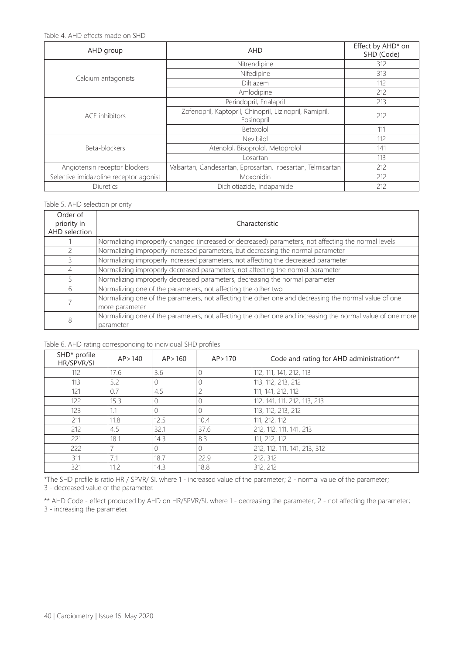Table 4. AHD effects made on SHD

| AHD group                              | <b>AHD</b>                                                            | Effect by AHD* on<br>SHD (Code) |
|----------------------------------------|-----------------------------------------------------------------------|---------------------------------|
|                                        | Nitrendipine                                                          | 312                             |
|                                        | Nifedipine                                                            | 313                             |
| Calcium antagonists                    | Diltiazem                                                             | 112                             |
|                                        | Amlodipine                                                            | 212                             |
|                                        | Perindopril, Enalapril                                                | 213                             |
| ACE inhibitors                         | Zofenopril, Kaptopril, Chinopril, Lizinopril, Ramipril,<br>Fosinopril | 212                             |
|                                        | Betaxolol                                                             | 111                             |
|                                        | <b>Nevibilol</b>                                                      | 112                             |
| Beta-blockers                          | Atenolol, Bisoprolol, Metoprolol                                      | 141                             |
|                                        | Losartan                                                              | 113                             |
| Angiotensin receptor blockers          | Valsartan, Candesartan, Eprosartan, Irbesartan, Telmisartan           | 212                             |
| Selective imidazoline receptor agonist | <b>Moxonidin</b>                                                      | 212                             |
| <b>Diuretics</b>                       | Dichlotiazide, Indapamide                                             | 212                             |

#### Table 5. AHD selection priority

| Order of<br>priority in<br>AHD selection | Characteristic                                                                                                          |
|------------------------------------------|-------------------------------------------------------------------------------------------------------------------------|
|                                          | Normalizing improperly changed (increased or decreased) parameters, not affecting the normal levels                     |
|                                          | Normalizing improperly increased parameters, but decreasing the normal parameter                                        |
|                                          | Normalizing improperly increased parameters, not affecting the decreased parameter                                      |
| 4                                        | Normalizing improperly decreased parameters; not affecting the normal parameter                                         |
|                                          | Normalizing improperly decreased parameters, decreasing the normal parameter                                            |
| 6                                        | Normalizing one of the parameters, not affecting the other two                                                          |
|                                          | Normalizing one of the parameters, not affecting the other one and decreasing the normal value of one<br>more parameter |
| 8                                        | Normalizing one of the parameters, not affecting the other one and increasing the normal value of one more<br>parameter |

## Table 6. AHD rating corresponding to individual SHD profiles

| SHD* profile<br>HR/SPVR/SI | AP > 140 | AP > 160 | AP > 170 | Code and rating for AHD administration** |
|----------------------------|----------|----------|----------|------------------------------------------|
| 112                        | 17.6     | 3.6      |          | 112, 111, 141, 212, 113                  |
| 113                        | 5.2      | 0        |          | 113, 112, 213, 212                       |
| 121                        | 0.7      | 4.5      | 2        | 111, 141, 212, 112                       |
| 122                        | 15.3     | 0        |          | 112, 141, 111, 212, 113, 213             |
| 123                        | 1.1      | $\Omega$ |          | 113, 112, 213, 212                       |
| 211                        | 11.8     | 12.5     | 10.4     | 111, 212, 112                            |
| 212                        | 4.5      | 32.1     | 37.6     | 212, 112, 111, 141, 213                  |
| 221                        | 18.1     | 14.3     | 8.3      | 111, 212, 112                            |
| 222                        |          | $\Omega$ | $\cap$   | 212, 112, 111, 141, 213, 312             |
| 311                        | 7.1      | 18.7     | 22.9     | 212, 312                                 |
| 321                        | 11.2     | 14.3     | 18.8     | 312, 212                                 |

\*The SHD profile is ratio HR / SPVR/ SI, where 1 - increased value of the parameter; 2 - normal value of the parameter; 3 - decreased value of the parameter.

\*\* AHD Code - effect produced by AHD on HR/SPVR/SI, where 1 - decreasing the parameter; 2 - not affecting the parameter; 3 - increasing the parameter.